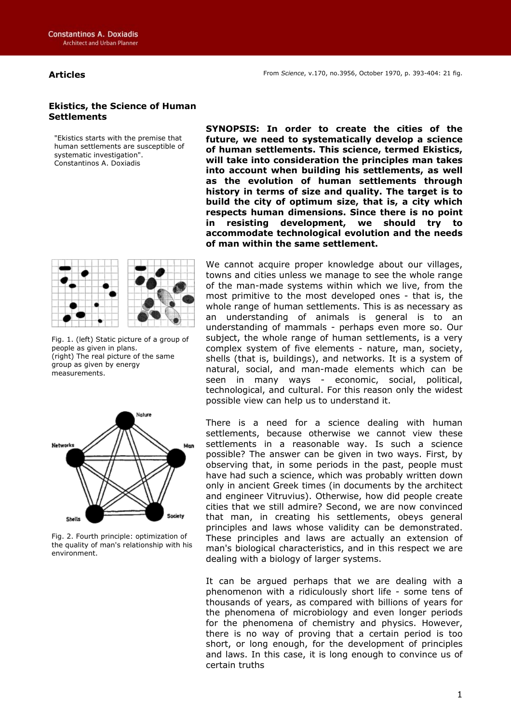#### **Ekistics, the Science of Human Settlements**

"Ekistics starts with the premise that human settlements are susceptible of systematic investigation". Constantinos A. Doxiadis



Fig. 1. (left) Static picture of a group of people as given in plans. (right) The real picture of the same group as given by energy measurements.



Fig. 2. Fourth principle: optimization of the quality of man's relationship with his environment.

**SYNOPSIS: In order to create the cities of the future, we need to systematically develop a science of human settlements. This science, termed Ekistics, will take into consideration the principles man takes into account when building his settlements, as well as the evolution of human settlements through history in terms of size and quality. The target is to build the city of optimum size, that is, a city which respects human dimensions. Since there is no point in resisting development, we should try to accommodate technological evolution and the needs of man within the same settlement.** 

We cannot acquire proper knowledge about our villages, towns and cities unless we manage to see the whole range of the man-made systems within which we live, from the most primitive to the most developed ones - that is, the whole range of human settlements. This is as necessary as an understanding of animals is general is to an understanding of mammals - perhaps even more so. Our subject, the whole range of human settlements, is a very complex system of five elements - nature, man, society, shells (that is, buildings), and networks. It is a system of natural, social, and man-made elements which can be seen in many ways - economic, social, political, technological, and cultural. For this reason only the widest possible view can help us to understand it.

There is a need for a science dealing with human settlements, because otherwise we cannot view these settlements in a reasonable way. Is such a science possible? The answer can be given in two ways. First, by observing that, in some periods in the past, people must have had such a science, which was probably written down only in ancient Greek times (in documents by the architect and engineer Vitruvius). Otherwise, how did people create cities that we still admire? Second, we are now convinced that man, in creating his settlements, obeys general principles and laws whose validity can be demonstrated. These principles and laws are actually an extension of man's biological characteristics, and in this respect we are dealing with a biology of larger systems.

It can be argued perhaps that we are dealing with a phenomenon with a ridiculously short life - some tens of thousands of years, as compared with billions of years for the phenomena of microbiology and even longer periods for the phenomena of chemistry and physics. However, there is no way of proving that a certain period is too short, or long enough, for the development of principles and laws. In this case, it is long enough to convince us of certain truths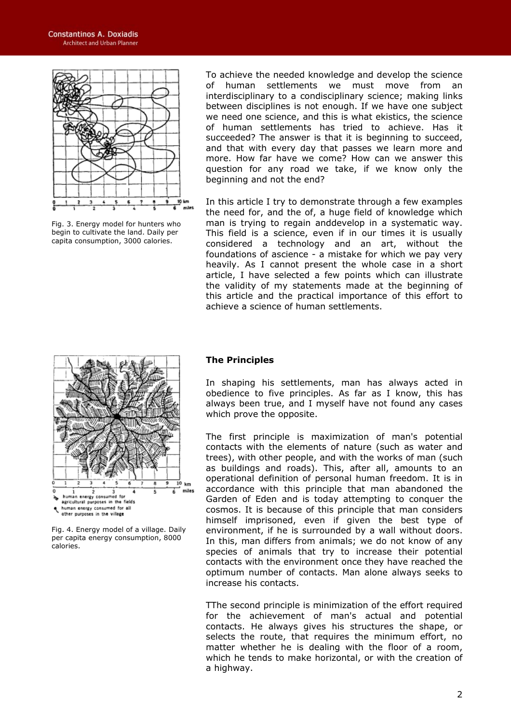

Fig. 3. Energy model for hunters who begin to cultivate the land. Daily per capita consumption, 3000 calories.

To achieve the needed knowledge and develop the science of human settlements we must move from an interdisciplinary to a condisciplinary science; making links between disciplines is not enough. If we have one subject we need one science, and this is what ekistics, the science of human settlements has tried to achieve. Has it succeeded? The answer is that it is beginning to succeed, and that with every day that passes we learn more and more. How far have we come? How can we answer this question for any road we take, if we know only the beginning and not the end?

In this article I try to demonstrate through a few examples the need for, and the of, a huge field of knowledge which man is trying to regain anddevelop in a systematic way. This field is a science, even if in our times it is usually considered a technology and an art, without the foundations of ascience - a mistake for which we pay very heavily. As I cannot present the whole case in a short article, I have selected a few points which can illustrate the validity of my statements made at the beginning of this article and the practical importance of this effort to achieve a science of human settlements.



Fig. 4. Energy model of a village. Daily per capita energy consumption, 8000 calories.

## **The Principles**

In shaping his settlements, man has always acted in obedience to five principles. As far as I know, this has always been true, and I myself have not found any cases which prove the opposite.

The first principle is maximization of man's potential contacts with the elements of nature (such as water and trees), with other people, and with the works of man (such as buildings and roads). This, after all, amounts to an operational definition of personal human freedom. It is in accordance with this principle that man abandoned the Garden of Eden and is today attempting to conquer the cosmos. It is because of this principle that man considers himself imprisoned, even if given the best type of environment, if he is surrounded by a wall without doors. In this, man differs from animals; we do not know of any species of animals that try to increase their potential contacts with the environment once they have reached the optimum number of contacts. Man alone always seeks to increase his contacts.

TThe second principle is minimization of the effort required for the achievement of man's actual and potential contacts. He always gives his structures the shape, or selects the route, that requires the minimum effort, no matter whether he is dealing with the floor of a room, which he tends to make horizontal, or with the creation of a highway.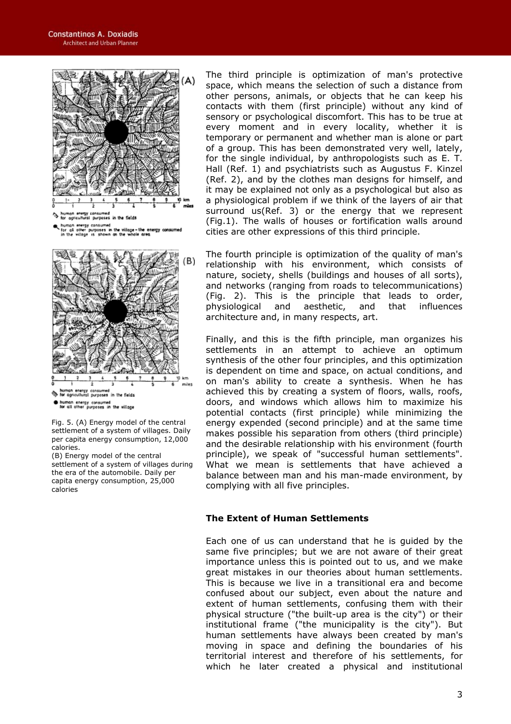

the energy co



Fig. 5. (A) Energy model of the central settlement of a system of villages. Daily per capita energy consumption, 12,000 calories.

(B) Energy model of the central settlement of a system of villages during the era of the automobile. Daily per capita energy consumption, 25,000 calories

The third principle is optimization of man's protective space, which means the selection of such a distance from other persons, animals, or objects that he can keep his contacts with them (first principle) without any kind of sensory or psychological discomfort. This has to be true at every moment and in every locality, whether it is temporary or permanent and whether man is alone or part of a group. This has been demonstrated very well, lately, for the single individual, by anthropologists such as E. T. Hall (Ref. 1) and psychiatrists such as Augustus F. Kinzel (Ref. 2), and by the clothes man designs for himself, and it may be explained not only as a psychological but also as a physiological problem if we think of the layers of air that surround us(Ref. 3) or the energy that we represent (Fig.1). The walls of houses or fortification walls around cities are other expressions of this third principle.

The fourth principle is optimization of the quality of man's relationship with his environment, which consists of nature, society, shells (buildings and houses of all sorts), and networks (ranging from roads to telecommunications) (Fig. 2). This is the principle that leads to order, physiological and aesthetic, and that influences architecture and, in many respects, art.

Finally, and this is the fifth principle, man organizes his settlements in an attempt to achieve an optimum synthesis of the other four principles, and this optimization is dependent on time and space, on actual conditions, and on man's ability to create a synthesis. When he has achieved this by creating a system of floors, walls, roofs, doors, and windows which allows him to maximize his potential contacts (first principle) while minimizing the energy expended (second principle) and at the same time makes possible his separation from others (third principle) and the desirable relationship with his environment (fourth principle), we speak of "successful human settlements". What we mean is settlements that have achieved a balance between man and his man-made environment, by complying with all five principles.

# **The Extent of Human Settlements**

Each one of us can understand that he is guided by the same five principles; but we are not aware of their great importance unless this is pointed out to us, and we make great mistakes in our theories about human settlements. This is because we live in a transitional era and become confused about our subject, even about the nature and extent of human settlements, confusing them with their physical structure ("the built-up area is the city") or their institutional frame ("the municipality is the city"). But human settlements have always been created by man's moving in space and defining the boundaries of his territorial interest and therefore of his settlements, for which he later created a physical and institutional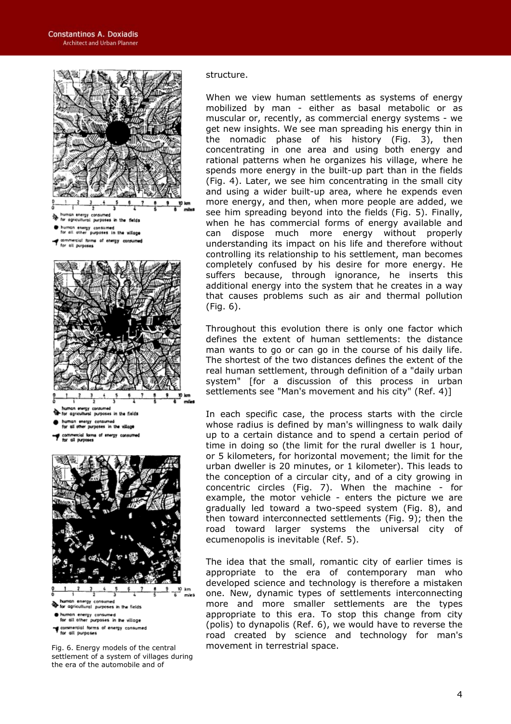

ercial forms of energy



 $-\frac{10}{6}$  km<br> $\frac{1}{6}$  miles er purposes in t ercial forms of energy consumed for all purposes

Fig. 6. Energy models of the central settlement of a system of villages during the era of the automobile and of

#### structure.

When we view human settlements as systems of energy mobilized by man - either as basal metabolic or as muscular or, recently, as commercial energy systems - we get new insights. We see man spreading his energy thin in the nomadic phase of his history (Fig. 3), then concentrating in one area and using both energy and rational patterns when he organizes his village, where he spends more energy in the built-up part than in the fields (Fig. 4). Later, we see him concentrating in the small city and using a wider built-up area, where he expends even more energy, and then, when more people are added, we see him spreading beyond into the fields (Fig. 5). Finally, when he has commercial forms of energy available and can dispose much more energy without properly understanding its impact on his life and therefore without controlling its relationship to his settlement, man becomes completely confused by his desire for more energy. He suffers because, through ignorance, he inserts this additional energy into the system that he creates in a way that causes problems such as air and thermal pollution (Fig. 6).

Throughout this evolution there is only one factor which defines the extent of human settlements: the distance man wants to go or can go in the course of his daily life. The shortest of the two distances defines the extent of the real human settlement, through definition of a "daily urban system" [for a discussion of this process in urban settlements see "Man's movement and his city" (Ref. 4)]

In each specific case, the process starts with the circle whose radius is defined by man's willingness to walk daily up to a certain distance and to spend a certain period of time in doing so (the limit for the rural dweller is 1 hour, or 5 kilometers, for horizontal movement; the limit for the urban dweller is 20 minutes, or 1 kilometer). This leads to the conception of a circular city, and of a city growing in concentric circles (Fig. 7). When the machine - for example, the motor vehicle - enters the picture we are gradually led toward a two-speed system (Fig. 8), and then toward interconnected settlements (Fig. 9); then the road toward larger systems the universal city of ecumenopolis is inevitable (Ref. 5).

The idea that the small, romantic city of earlier times is appropriate to the era of contemporary man who developed science and technology is therefore a mistaken one. New, dynamic types of settlements interconnecting more and more smaller settlements are the types appropriate to this era. To stop this change from city (polis) to dynapolis (Ref. 6), we would have to reverse the road created by science and technology for man's movement in terrestrial space.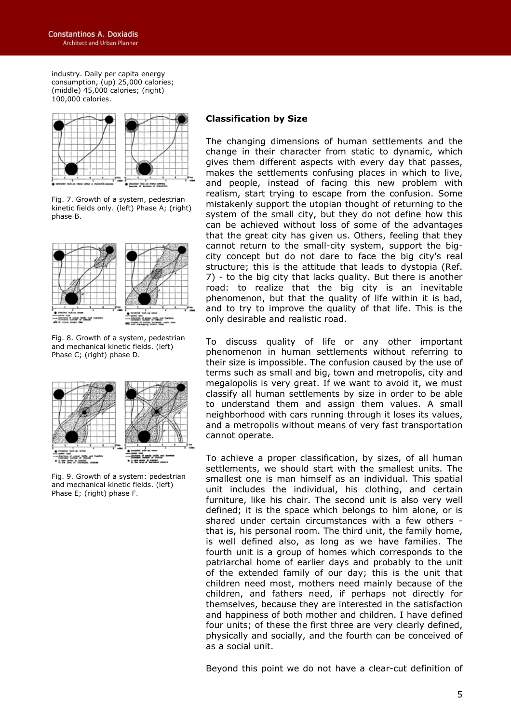industry. Daily per capita energy consumption, (up) 25,000 calories; (middle) 45,000 calories; (right) 100,000 calories.



Fig. 7. Growth of a system, pedestrian kinetic fields only. (left) Phase A; (right) phase B.



Fig. 8. Growth of a system, pedestrian and mechanical kinetic fields. (left) Phase C; (right) phase D.



Fig. 9. Growth of a system: pedestrian and mechanical kinetic fields. (left) Phase E; (right) phase F.

## **Classification by Size**

The changing dimensions of human settlements and the change in their character from static to dynamic, which gives them different aspects with every day that passes, makes the settlements confusing places in which to live, and people, instead of facing this new problem with realism, start trying to escape from the confusion. Some mistakenly support the utopian thought of returning to the system of the small city, but they do not define how this can be achieved without loss of some of the advantages that the great city has given us. Others, feeling that they cannot return to the small-city system, support the bigcity concept but do not dare to face the big city's real structure; this is the attitude that leads to dystopia (Ref. 7) - to the big city that lacks quality. But there is another road: to realize that the big city is an inevitable phenomenon, but that the quality of life within it is bad, and to try to improve the quality of that life. This is the only desirable and realistic road.

To discuss quality of life or any other important phenomenon in human settlements without referring to their size is impossible. The confusion caused by the use of terms such as small and big, town and metropolis, city and megalopolis is very great. If we want to avoid it, we must classify all human settlements by size in order to be able to understand them and assign them values. A small neighborhood with cars running through it loses its values, and a metropolis without means of very fast transportation cannot operate.

To achieve a proper classification, by sizes, of all human settlements, we should start with the smallest units. The smallest one is man himself as an individual. This spatial unit includes the individual, his clothing, and certain furniture, like his chair. The second unit is also very well defined; it is the space which belongs to him alone, or is shared under certain circumstances with a few others that is, his personal room. The third unit, the family home, is well defined also, as long as we have families. The fourth unit is a group of homes which corresponds to the patriarchal home of earlier days and probably to the unit of the extended family of our day; this is the unit that children need most, mothers need mainly because of the children, and fathers need, if perhaps not directly for themselves, because they are interested in the satisfaction and happiness of both mother and children. I have defined four units; of these the first three are very clearly defined, physically and socially, and the fourth can be conceived of as a social unit.

Beyond this point we do not have a clear-cut definition of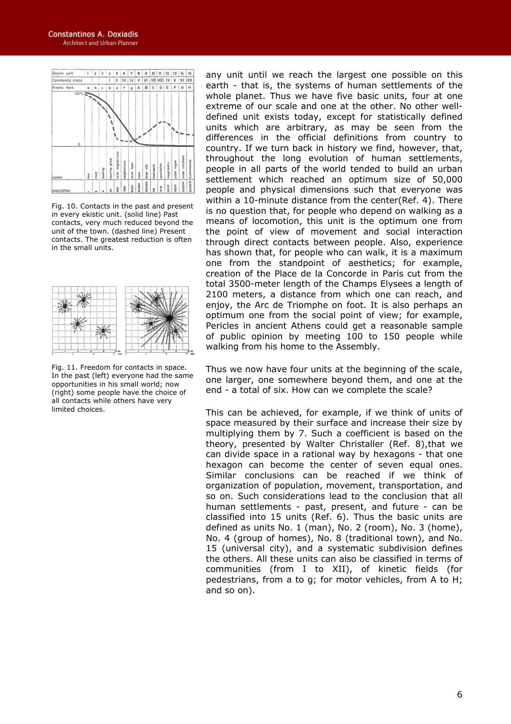

Fig. 10. Contacts in the past and present in every ekistic unit. (solid line) Past contacts, very much reduced beyond the unit of the town. (dashed line) Present contacts. The greatest reduction is often in the small units.



Fig. 11. Freedom for contacts in space. In the past (left) everyone had the same opportunities in his small world; now (right) some people have the choice of all contacts while others have very limited choices.

any unit until we reach the largest one possible on this earth - that is, the systems of human settlements of the whole planet. Thus we have five basic units, four at one extreme of our scale and one at the other. No other welldefined unit exists today, except for statistically defined units which are arbitrary, as may be seen from the differences in the official definitions from country to country. If we turn back in history we find, however, that, throughout the long evolution of human settlements, people in all parts of the world tended to build an urban settlement which reached an optimum size of 50,000 people and physical dimensions such that everyone was within a 10-minute distance from the center(Ref. 4). There is no question that, for people who depend on walking as a means of locomotion, this unit is the optimum one from the point of view of movement and social interaction through direct contacts between people. Also, experience has shown that, for people who can walk, it is a maximum one from the standpoint of aesthetics; for example, creation of the Place de la Concorde in Paris cut from the total 3500-meter length of the Champs Elysees a length of 2100 meters, a distance from which one can reach, and enjoy, the Arc de Triomphe on foot. It is also perhaps an optimum one from the social point of view; for example, Pericles in ancient Athens could get a reasonable sample of public opinion by meeting 100 to 150 people while walking from his home to the Assembly.

Thus we now have four units at the beginning of the scale, one larger, one somewhere beyond them, and one at the end - a total of six. How can we complete the scale?

This can be achieved, for example, if we think of units of space measured by their surface and increase their size by multiplying them by 7. Such a coefficient is based on the theory, presented by Walter Christaller (Ref. 8),that we can divide space in a rational way by hexagons - that one hexagon can become the center of seven equal ones. Similar conclusions can be reached if we think of organization of population, movement, transportation, and so on. Such considerations lead to the conclusion that all human settlements - past, present, and future - can be classified into 15 units (Ref. 6). Thus the basic units are defined as units No. 1 (man), No. 2 (room), No. 3 (home), No. 4 (group of homes), No. 8 (traditional town), and No. 15 (universal city), and a systematic subdivision defines the others. All these units can also be classified in terms of communities (from I to XII), of kinetic fields (for pedestrians, from a to g; for motor vehicles, from A to H; and so on).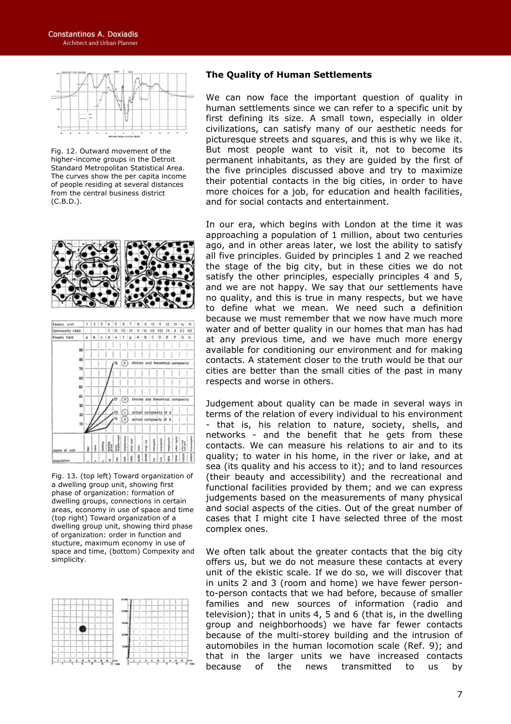

Fig. 12. Outward movement of the higher-income groups in the Detroit Standard Metropolitan Statistical Area. The curves show the per capita income of people residing at several distances from the central business district (C.B.D.).



Fig. 13. (top left) Toward organization of a dwelling group unit, showing first phase of organization: formation of dwelling groups, connections in certain areas, economy in use of space and time (top right) Toward organization of a dwelling group unit, showing third phase of organization: order in function and stucture, maximum economy in use of space and time, (bottom) Compexity and simplicity.



#### **The Quality of Human Settlements**

We can now face the important question of quality in human settlements since we can refer to a specific unit by first defining its size. A small town, especially in older civilizations, can satisfy many of our aesthetic needs for picturesque streets and squares, and this is why we like it. But most people want to visit it, not to become its permanent inhabitants, as they are guided by the first of the five principles discussed above and try to maximize their potential contacts in the big cities, in order to have more choices for a job, for education and health facilities, and for social contacts and entertainment.

In our era, which begins with London at the time it was approaching a population of 1 million, about two centuries ago, and in other areas later, we lost the ability to satisfy all five principles. Guided by principles 1 and 2 we reached the stage of the big city, but in these cities we do not satisfy the other principles, especially principles 4 and 5, and we are not happy. We say that our settlements have no quality, and this is true in many respects, but we have to define what we mean. We need such a definition because we must remember that we now have much more water and of better quality in our homes that man has had at any previous time, and we have much more energy available for conditioning our environment and for making contacts. A statement closer to the truth would be that our cities are better than the small cities of the past in many respects and worse in others.

Judgement about quality can be made in several ways in terms of the relation of every individual to his environment - that is, his relation to nature, society, shells, and networks - and the benefit that he gets from these contacts. We can measure his relations to air and to its quality; to water in his home, in the river or lake, and at sea (its quality and his access to it); and to land resources (their beauty and accessibility) and the recreational and functional facilities provided by them; and we can express judgements based on the measurements of many physical and social aspects of the cities. Out of the great number of cases that I might cite I have selected three of the most complex ones.

We often talk about the greater contacts that the big city offers us, but we do not measure these contacts at every unit of the ekistic scale. If we do so, we will discover that in units 2 and 3 (room and home) we have fewer personto-person contacts that we had before, because of smaller families and new sources of information (radio and television); that in units 4, 5 and 6 (that is, in the dwelling group and neighborhoods) we have far fewer contacts because of the multi-storey building and the intrusion of automobiles in the human locomotion scale (Ref. 9); and that in the larger units we have increased contacts because of the news transmitted to us by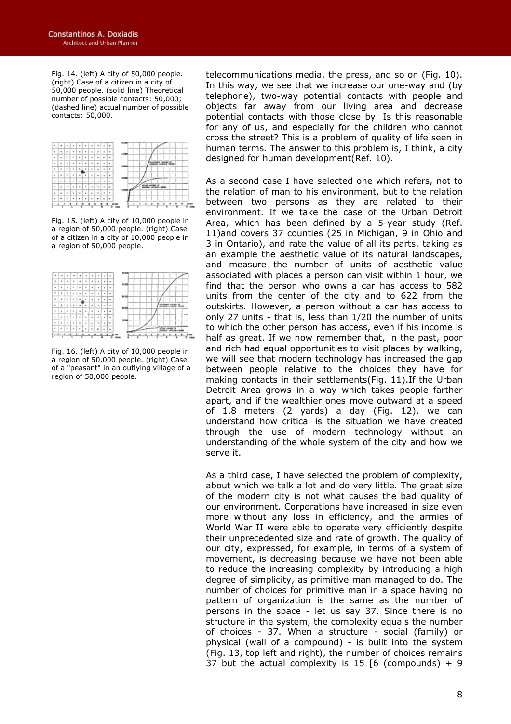Fig. 14. (left) A city of 50,000 people. (right) Case of a citizen in a city of 50,000 people. (solid line) Theoretical number of possible contacts: 50,000; (dashed line) actual number of possible contacts: 50,000.



Fig. 15. (left) A city of 10,000 people in a region of 50,000 people. (right) Case of a citizen in a city of 10,000 people in a region of 50,000 people.



Fig. 16. (left) A city of 10,000 people in a region of 50,000 people. (right) Case of a "peasant" in an outlying village of a region of 50,000 people.

telecommunications media, the press, and so on (Fig. 10). In this way, we see that we increase our one-way and (by telephone), two-way potential contacts with people and objects far away from our living area and decrease potential contacts with those close by. Is this reasonable for any of us, and especially for the children who cannot cross the street? This is a problem of quality of life seen in human terms. The answer to this problem is, I think, a city designed for human development(Ref. 10).

As a second case I have selected one which refers, not to the relation of man to his environment, but to the relation between two persons as they are related to their environment. If we take the case of the Urban Detroit Area, which has been defined by a 5-year study (Ref. 11)and covers 37 counties (25 in Michigan, 9 in Ohio and 3 in Ontario), and rate the value of all its parts, taking as an example the aesthetic value of its natural landscapes, and measure the number of units of aesthetic value associated with places a person can visit within 1 hour, we find that the person who owns a car has access to 582 units from the center of the city and to 622 from the outskirts. However, a person without a car has access to only 27 units - that is, less than 1/20 the number of units to which the other person has access, even if his income is half as great. If we now remember that, in the past, poor and rich had equal opportunities to visit places by walking, we will see that modern technology has increased the gap between people relative to the choices they have for making contacts in their settlements(Fig. 11).If the Urban Detroit Area grows in a way which takes people farther apart, and if the wealthier ones move outward at a speed of 1.8 meters (2 yards) a day (Fig. 12), we can understand how critical is the situation we have created through the use of modern technology without an understanding of the whole system of the city and how we serve it.

As a third case, I have selected the problem of complexity, about which we talk a lot and do very little. The great size of the modern city is not what causes the bad quality of our environment. Corporations have increased in size even more without any loss in efficiency, and the armies of World War II were able to operate very efficiently despite their unprecedented size and rate of growth. The quality of our city, expressed, for example, in terms of a system of movement, is decreasing because we have not been able to reduce the increasing complexity by introducing a high degree of simplicity, as primitive man managed to do. The number of choices for primitive man in a space having no pattern of organization is the same as the number of persons in the space - let us say 37. Since there is no structure in the system, the complexity equals the number of choices - 37. When a structure - social (family) or physical (wall of a compound) - is built into the system (Fig. 13, top left and right), the number of choices remains 37 but the actual complexity is 15 [6 (compounds) + 9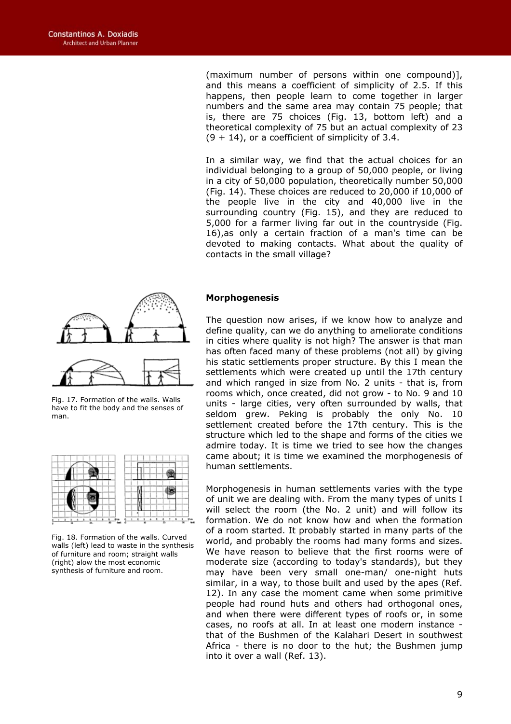(maximum number of persons within one compound)], and this means a coefficient of simplicity of 2.5. If this happens, then people learn to come together in larger numbers and the same area may contain 75 people; that is, there are 75 choices (Fig. 13, bottom left) and a theoretical complexity of 75 but an actual complexity of 23  $(9 + 14)$ , or a coefficient of simplicity of 3.4.

In a similar way, we find that the actual choices for an individual belonging to a group of 50,000 people, or living in a city of 50,000 population, theoretically number 50,000 (Fig. 14). These choices are reduced to 20,000 if 10,000 of the people live in the city and 40,000 live in the surrounding country (Fig. 15), and they are reduced to 5,000 for a farmer living far out in the countryside (Fig. 16),as only a certain fraction of a man's time can be devoted to making contacts. What about the quality of contacts in the small village?



Fig. 17. Formation of the walls. Walls have to fit the body and the senses of man.



Fig. 18. Formation of the walls. Curved walls (left) lead to waste in the synthesis of furniture and room; straight walls (right) alow the most economic synthesis of furniture and room.

# **Morphogenesis**

The question now arises, if we know how to analyze and define quality, can we do anything to ameliorate conditions in cities where quality is not high? The answer is that man has often faced many of these problems (not all) by giving his static settlements proper structure. By this I mean the settlements which were created up until the 17th century and which ranged in size from No. 2 units - that is, from rooms which, once created, did not grow - to No. 9 and 10 units - large cities, very often surrounded by walls, that seldom grew. Peking is probably the only No. 10 settlement created before the 17th century. This is the structure which led to the shape and forms of the cities we admire today. It is time we tried to see how the changes came about; it is time we examined the morphogenesis of human settlements.

Morphogenesis in human settlements varies with the type of unit we are dealing with. From the many types of units I will select the room (the No. 2 unit) and will follow its formation. We do not know how and when the formation of a room started. It probably started in many parts of the world, and probably the rooms had many forms and sizes. We have reason to believe that the first rooms were of moderate size (according to today's standards), but they may have been very small one-man/ one-night huts similar, in a way, to those built and used by the apes (Ref. 12). In any case the moment came when some primitive people had round huts and others had orthogonal ones, and when there were different types of roofs or, in some cases, no roofs at all. In at least one modern instance that of the Bushmen of the Kalahari Desert in southwest Africa - there is no door to the hut; the Bushmen jump into it over a wall (Ref. 13).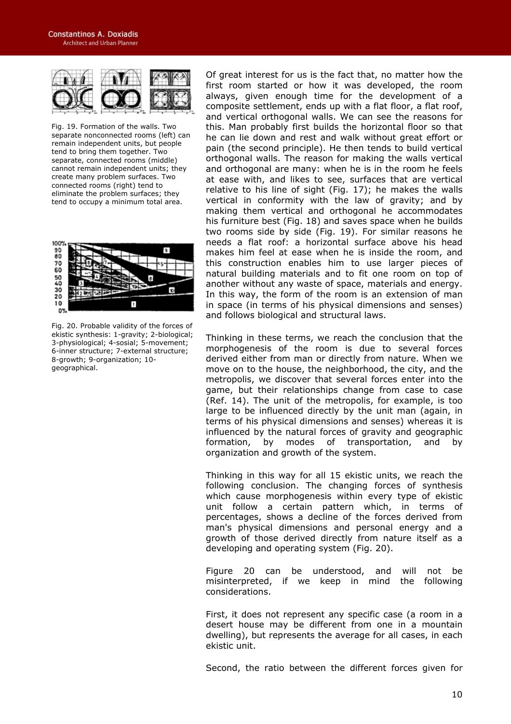

Fig. 19. Formation of the walls. Two separate nonconnected rooms (left) can remain independent units, but people tend to bring them together. Two separate, connected rooms (middle) cannot remain independent units; they create many problem surfaces. Two connected rooms (right) tend to eliminate the problem surfaces; they tend to occupy a minimum total area.



Fig. 20. Probable validity of the forces of ekistic synthesis: 1-gravity; 2-biological; 3-physiological; 4-sosial; 5-movement; 6-inner structure; 7-external structure; 8-growth; 9-organization; 10 geographical.

Of great interest for us is the fact that, no matter how the first room started or how it was developed, the room always, given enough time for the development of a composite settlement, ends up with a flat floor, a flat roof, and vertical orthogonal walls. We can see the reasons for this. Man probably first builds the horizontal floor so that he can lie down and rest and walk without great effort or pain (the second principle). He then tends to build vertical orthogonal walls. The reason for making the walls vertical and orthogonal are many: when he is in the room he feels at ease with, and likes to see, surfaces that are vertical relative to his line of sight (Fig. 17); he makes the walls vertical in conformity with the law of gravity; and by making them vertical and orthogonal he accommodates his furniture best (Fig. 18) and saves space when he builds two rooms side by side (Fig. 19). For similar reasons he needs a flat roof: a horizontal surface above his head makes him feel at ease when he is inside the room, and this construction enables him to use larger pieces of natural building materials and to fit one room on top of another without any waste of space, materials and energy. In this way, the form of the room is an extension of man in space (in terms of his physical dimensions and senses) and follows biological and structural laws.

Thinking in these terms, we reach the conclusion that the morphogenesis of the room is due to several forces derived either from man or directly from nature. When we move on to the house, the neighborhood, the city, and the metropolis, we discover that several forces enter into the game, but their relationships change from case to case (Ref. 14). The unit of the metropolis, for example, is too large to be influenced directly by the unit man (again, in terms of his physical dimensions and senses) whereas it is influenced by the natural forces of gravity and geographic formation, by modes of transportation, and by organization and growth of the system.

Thinking in this way for all 15 ekistic units, we reach the following conclusion. The changing forces of synthesis which cause morphogenesis within every type of ekistic unit follow a certain pattern which, in terms of percentages, shows a decline of the forces derived from man's physical dimensions and personal energy and a growth of those derived directly from nature itself as a developing and operating system (Fig. 20).

Figure 20 can be understood, and will not be misinterpreted, if we keep in mind the following considerations.

First, it does not represent any specific case (a room in a desert house may be different from one in a mountain dwelling), but represents the average for all cases, in each ekistic unit.

Second, the ratio between the different forces given for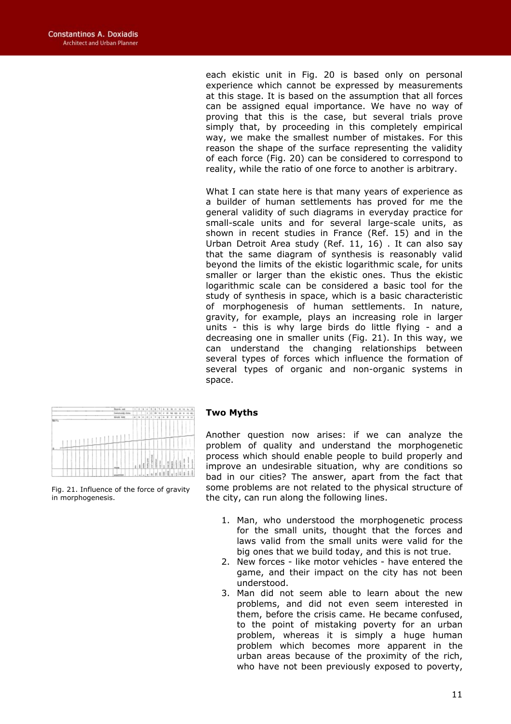each ekistic unit in Fig. 20 is based only on personal experience which cannot be expressed by measurements at this stage. It is based on the assumption that all forces can be assigned equal importance. We have no way of proving that this is the case, but several trials prove simply that, by proceeding in this completely empirical way, we make the smallest number of mistakes. For this reason the shape of the surface representing the validity of each force (Fig. 20) can be considered to correspond to reality, while the ratio of one force to another is arbitrary.

What I can state here is that many years of experience as a builder of human settlements has proved for me the general validity of such diagrams in everyday practice for small-scale units and for several large-scale units, as shown in recent studies in France (Ref. 15) and in the Urban Detroit Area study (Ref. 11, 16) . It can also say that the same diagram of synthesis is reasonably valid beyond the limits of the ekistic logarithmic scale, for units smaller or larger than the ekistic ones. Thus the ekistic logarithmic scale can be considered a basic tool for the study of synthesis in space, which is a basic characteristic of morphogenesis of human settlements. In nature, gravity, for example, plays an increasing role in larger units - this is why large birds do little flying - and a decreasing one in smaller units (Fig. 21). In this way, we can understand the changing relationships between several types of forces which influence the formation of several types of organic and non-organic systems in space.

|      | Elabeth south          |         |   |              |  |  | 1 2 3 4 5 6 7 8 9 10 11 12 |  |   |
|------|------------------------|---------|---|--------------|--|--|----------------------------|--|---|
|      | <b>Community</b> sions |         | ı | п            |  |  |                            |  |   |
|      | <b>Nivel Feld</b>      | 4.14.14 |   | $\mathbf{r}$ |  |  |                            |  | u |
| Nov. |                        |         |   |              |  |  |                            |  |   |
|      |                        |         |   |              |  |  |                            |  |   |
|      |                        |         |   |              |  |  |                            |  |   |
|      |                        |         |   |              |  |  |                            |  |   |
|      |                        |         |   |              |  |  |                            |  |   |
|      |                        |         |   |              |  |  |                            |  |   |
|      |                        |         |   |              |  |  |                            |  |   |
|      | and done.              |         |   |              |  |  |                            |  |   |
|      |                        |         |   |              |  |  |                            |  |   |
|      |                        |         |   |              |  |  |                            |  |   |
|      |                        |         |   |              |  |  |                            |  |   |
|      |                        |         |   |              |  |  |                            |  |   |
|      |                        |         |   |              |  |  |                            |  |   |
|      | <b>LASK</b>            |         |   |              |  |  |                            |  |   |

Fig. 21. Influence of the force of gravity in morphogenesis.

# **Two Myths**

Another question now arises: if we can analyze the problem of quality and understand the morphogenetic process which should enable people to build properly and improve an undesirable situation, why are conditions so bad in our cities? The answer, apart from the fact that some problems are not related to the physical structure of the city, can run along the following lines.

- 1. Man, who understood the morphogenetic process for the small units, thought that the forces and laws valid from the small units were valid for the big ones that we build today, and this is not true.
- 2. New forces like motor vehicles have entered the game, and their impact on the city has not been understood.
- 3. Man did not seem able to learn about the new problems, and did not even seem interested in them, before the crisis came. He became confused, to the point of mistaking poverty for an urban problem, whereas it is simply a huge human problem which becomes more apparent in the urban areas because of the proximity of the rich, who have not been previously exposed to poverty,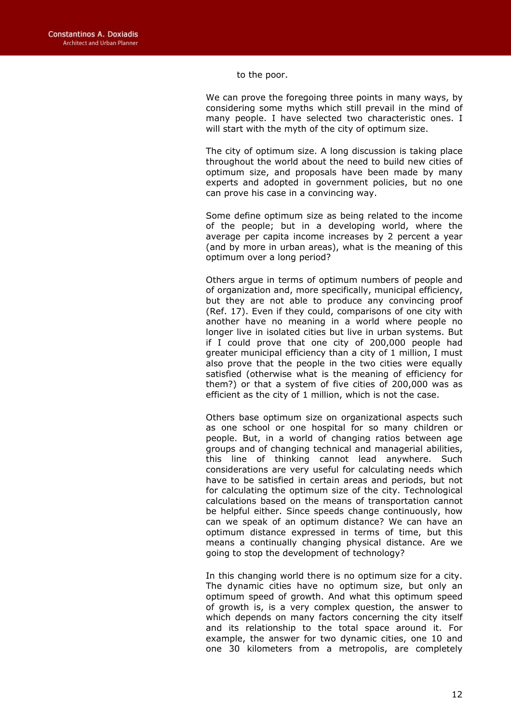to the poor.

We can prove the foregoing three points in many ways, by considering some myths which still prevail in the mind of many people. I have selected two characteristic ones. I will start with the myth of the city of optimum size.

The city of optimum size. A long discussion is taking place throughout the world about the need to build new cities of optimum size, and proposals have been made by many experts and adopted in government policies, but no one can prove his case in a convincing way.

Some define optimum size as being related to the income of the people; but in a developing world, where the average per capita income increases by 2 percent a year (and by more in urban areas), what is the meaning of this optimum over a long period?

Others argue in terms of optimum numbers of people and of organization and, more specifically, municipal efficiency, but they are not able to produce any convincing proof (Ref. 17). Even if they could, comparisons of one city with another have no meaning in a world where people no longer live in isolated cities but live in urban systems. But if I could prove that one city of 200,000 people had greater municipal efficiency than a city of 1 million, I must also prove that the people in the two cities were equally satisfied (otherwise what is the meaning of efficiency for them?) or that a system of five cities of 200,000 was as efficient as the city of 1 million, which is not the case.

Others base optimum size on organizational aspects such as one school or one hospital for so many children or people. But, in a world of changing ratios between age groups and of changing technical and managerial abilities, this line of thinking cannot lead anywhere. Such considerations are very useful for calculating needs which have to be satisfied in certain areas and periods, but not for calculating the optimum size of the city. Technological calculations based on the means of transportation cannot be helpful either. Since speeds change continuously, how can we speak of an optimum distance? We can have an optimum distance expressed in terms of time, but this means a continually changing physical distance. Are we going to stop the development of technology?

In this changing world there is no optimum size for a city. The dynamic cities have no optimum size, but only an optimum speed of growth. And what this optimum speed of growth is, is a very complex question, the answer to which depends on many factors concerning the city itself and its relationship to the total space around it. For example, the answer for two dynamic cities, one 10 and one 30 kilometers from a metropolis, are completely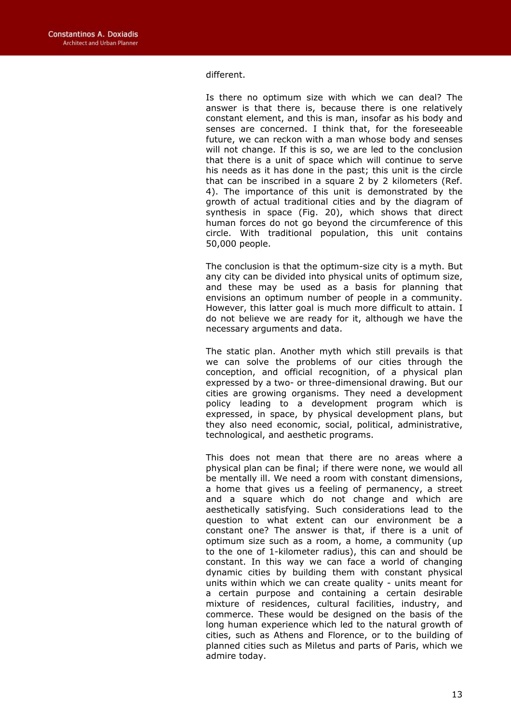#### different.

Is there no optimum size with which we can deal? The answer is that there is, because there is one relatively constant element, and this is man, insofar as his body and senses are concerned. I think that, for the foreseeable future, we can reckon with a man whose body and senses will not change. If this is so, we are led to the conclusion that there is a unit of space which will continue to serve his needs as it has done in the past; this unit is the circle that can be inscribed in a square 2 by 2 kilometers (Ref. 4). The importance of this unit is demonstrated by the growth of actual traditional cities and by the diagram of synthesis in space (Fig. 20), which shows that direct human forces do not go beyond the circumference of this circle. With traditional population, this unit contains 50,000 people.

The conclusion is that the optimum-size city is a myth. But any city can be divided into physical units of optimum size, and these may be used as a basis for planning that envisions an optimum number of people in a community. However, this latter goal is much more difficult to attain. I do not believe we are ready for it, although we have the necessary arguments and data.

The static plan. Another myth which still prevails is that we can solve the problems of our cities through the conception, and official recognition, of a physical plan expressed by a two- or three-dimensional drawing. But our cities are growing organisms. They need a development policy leading to a development program which is expressed, in space, by physical development plans, but they also need economic, social, political, administrative, technological, and aesthetic programs.

This does not mean that there are no areas where a physical plan can be final; if there were none, we would all be mentally ill. We need a room with constant dimensions, a home that gives us a feeling of permanency, a street and a square which do not change and which are aesthetically satisfying. Such considerations lead to the question to what extent can our environment be a constant one? The answer is that, if there is a unit of optimum size such as a room, a home, a community (up to the one of 1-kilometer radius), this can and should be constant. In this way we can face a world of changing dynamic cities by building them with constant physical units within which we can create quality - units meant for a certain purpose and containing a certain desirable mixture of residences, cultural facilities, industry, and commerce. These would be designed on the basis of the long human experience which led to the natural growth of cities, such as Athens and Florence, or to the building of planned cities such as Miletus and parts of Paris, which we admire today.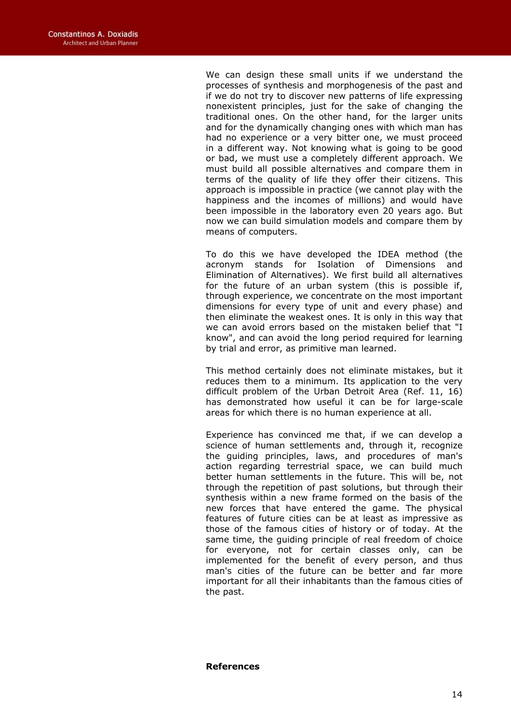We can design these small units if we understand the processes of synthesis and morphogenesis of the past and if we do not try to discover new patterns of life expressing nonexistent principles, just for the sake of changing the traditional ones. On the other hand, for the larger units and for the dynamically changing ones with which man has had no experience or a very bitter one, we must proceed in a different way. Not knowing what is going to be good or bad, we must use a completely different approach. We must build all possible alternatives and compare them in terms of the quality of life they offer their citizens. This approach is impossible in practice (we cannot play with the happiness and the incomes of millions) and would have been impossible in the laboratory even 20 years ago. But now we can build simulation models and compare them by means of computers.

To do this we have developed the IDEA method (the acronym stands for Isolation of Dimensions and Elimination of Alternatives). We first build all alternatives for the future of an urban system (this is possible if, through experience, we concentrate on the most important dimensions for every type of unit and every phase) and then eliminate the weakest ones. It is only in this way that we can avoid errors based on the mistaken belief that "I know", and can avoid the long period required for learning by trial and error, as primitive man learned.

This method certainly does not eliminate mistakes, but it reduces them to a minimum. Its application to the very difficult problem of the Urban Detroit Area (Ref. 11, 16) has demonstrated how useful it can be for large-scale areas for which there is no human experience at all.

Experience has convinced me that, if we can develop a science of human settlements and, through it, recognize the guiding principles, laws, and procedures of man's action regarding terrestrial space, we can build much better human settlements in the future. This will be, not through the repetition of past solutions, but through their synthesis within a new frame formed on the basis of the new forces that have entered the game. The physical features of future cities can be at least as impressive as those of the famous cities of history or of today. At the same time, the guiding principle of real freedom of choice for everyone, not for certain classes only, can be implemented for the benefit of every person, and thus man's cities of the future can be better and far more important for all their inhabitants than the famous cities of the past.

**References**